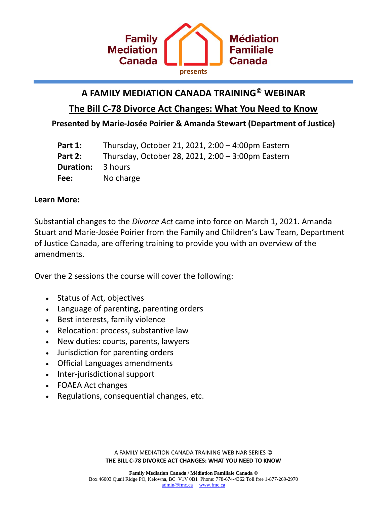

# **A FAMILY MEDIATION CANADA TRAINING© WEBINAR**

## **The Bill C-78 Divorce Act Changes: What You Need to Know**

**Presented by Marie-Josée Poirier & Amanda Stewart (Department of Justice)**

| Part 1:          | Thursday, October 21, 2021, 2:00 $-$ 4:00pm Eastern  |
|------------------|------------------------------------------------------|
| Part 2:          | Thursday, October 28, 2021, $2:00 - 3:00$ pm Eastern |
| <b>Duration:</b> | 3 hours                                              |
| Fee:             | No charge                                            |

## **Learn More:**

Substantial changes to the *Divorce Act* came into force on March 1, 2021. Amanda Stuart and Marie-Josée Poirier from the Family and Children's Law Team, Department of Justice Canada, are offering training to provide you with an overview of the amendments.

Over the 2 sessions the course will cover the following:

- Status of Act, objectives
- Language of parenting, parenting orders
- Best interests, family violence
- Relocation: process, substantive law
- New duties: courts, parents, lawyers
- Jurisdiction for parenting orders
- Official Languages amendments
- Inter-jurisdictional support
- FOAEA Act changes
- Regulations, consequential changes, etc.